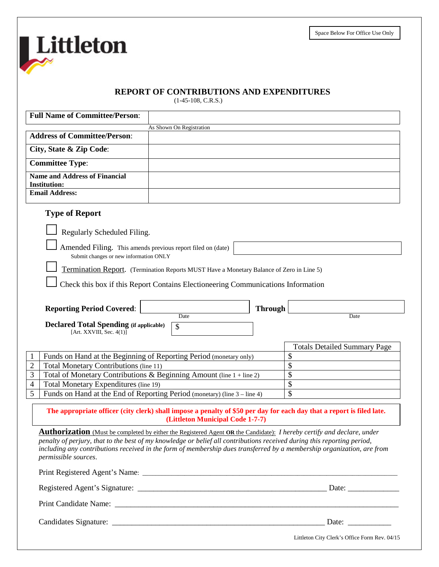Space Below For Office Use Only

# **REPORT OF CONTRIBUTIONS AND EXPENDITURES**

(1-45-108, C.R.S.)

Littleton

| <b>Full Name of Committee/Person:</b>                                                                                                          |                                                                                          |                |                                                                                                                       |
|------------------------------------------------------------------------------------------------------------------------------------------------|------------------------------------------------------------------------------------------|----------------|-----------------------------------------------------------------------------------------------------------------------|
|                                                                                                                                                | As Shown On Registration                                                                 |                |                                                                                                                       |
| <b>Address of Committee/Person:</b>                                                                                                            |                                                                                          |                |                                                                                                                       |
| City, State & Zip Code:                                                                                                                        |                                                                                          |                |                                                                                                                       |
| <b>Committee Type:</b>                                                                                                                         |                                                                                          |                |                                                                                                                       |
| <b>Name and Address of Financial</b><br><b>Institution:</b>                                                                                    |                                                                                          |                |                                                                                                                       |
| <b>Email Address:</b>                                                                                                                          |                                                                                          |                |                                                                                                                       |
| <b>Type of Report</b>                                                                                                                          |                                                                                          |                |                                                                                                                       |
|                                                                                                                                                |                                                                                          |                |                                                                                                                       |
| Regularly Scheduled Filing.                                                                                                                    |                                                                                          |                |                                                                                                                       |
| Amended Filing. This amends previous report filed on (date)<br>Submit changes or new information ONLY                                          |                                                                                          |                |                                                                                                                       |
|                                                                                                                                                | Termination Report. (Termination Reports MUST Have a Monetary Balance of Zero in Line 5) |                |                                                                                                                       |
|                                                                                                                                                | Check this box if this Report Contains Electioneering Communications Information         |                |                                                                                                                       |
|                                                                                                                                                |                                                                                          |                |                                                                                                                       |
| <b>Reporting Period Covered:</b>                                                                                                               |                                                                                          | <b>Through</b> |                                                                                                                       |
|                                                                                                                                                | Date                                                                                     |                | Date                                                                                                                  |
| <b>Declared Total Spending (if applicable)</b><br>[Art. XXVIII, Sec. $4(1)$ ]                                                                  | \$                                                                                       |                |                                                                                                                       |
|                                                                                                                                                |                                                                                          |                | <b>Totals Detailed Summary Page</b>                                                                                   |
|                                                                                                                                                |                                                                                          |                | \$                                                                                                                    |
| Funds on Hand at the Beginning of Reporting Period (monetary only)<br>Total Monetary Contributions (line 11)<br>$\overline{c}$                 |                                                                                          |                | \$                                                                                                                    |
| Total of Monetary Contributions & Beginning Amount (line 1 + line 2)<br>3                                                                      |                                                                                          |                | \$                                                                                                                    |
| Total Monetary Expenditures (line 19)<br>4                                                                                                     |                                                                                          |                | \$                                                                                                                    |
| 5<br>Funds on Hand at the End of Reporting Period (monetary) (line 3 – line 4)                                                                 |                                                                                          |                | \$                                                                                                                    |
|                                                                                                                                                |                                                                                          |                |                                                                                                                       |
|                                                                                                                                                | (Littleton Municipal Code 1-7-7)                                                         |                | The appropriate officer (city clerk) shall impose a penalty of \$50 per day for each day that a report is filed late. |
| Authorization (Must be completed by either the Registered Agent OR the Candidate): <i>I hereby certify and declare, under</i>                  |                                                                                          |                |                                                                                                                       |
| penalty of perjury, that to the best of my knowledge or belief all contributions received during this reporting period,                        |                                                                                          |                |                                                                                                                       |
| including any contributions received in the form of membership dues transferred by a membership organization, are from<br>permissible sources. |                                                                                          |                |                                                                                                                       |
|                                                                                                                                                |                                                                                          |                |                                                                                                                       |
|                                                                                                                                                |                                                                                          |                |                                                                                                                       |
|                                                                                                                                                |                                                                                          |                |                                                                                                                       |
|                                                                                                                                                |                                                                                          |                |                                                                                                                       |
|                                                                                                                                                |                                                                                          |                | Littleton City Clerk's Office Form Rev. 04/15                                                                         |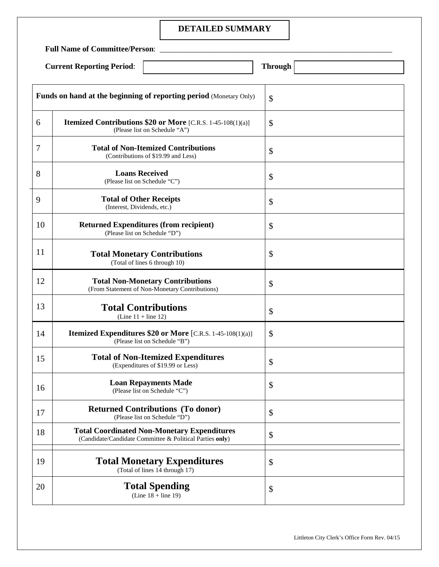### **DETAILED SUMMARY**

**Full Name of Committee/Person**: \_\_\_\_\_\_\_\_\_\_\_\_\_\_\_\_\_\_\_\_\_\_\_\_\_\_\_\_\_\_\_\_\_\_\_\_\_\_\_\_\_\_\_\_\_\_\_\_\_\_\_\_\_\_\_\_\_\_\_

|  | <b>Current Reporting Period:</b> |  |
|--|----------------------------------|--|
|--|----------------------------------|--|

| <b>Through</b> |
|----------------|

|    | <b>Funds on hand at the beginning of reporting period</b> (Monetary Only)                                      | \$ |
|----|----------------------------------------------------------------------------------------------------------------|----|
| 6  | <b>Itemized Contributions \$20 or More</b> [C.R.S. 1-45-108(1)(a)]<br>(Please list on Schedule "A")            | \$ |
| 7  | <b>Total of Non-Itemized Contributions</b><br>(Contributions of \$19.99 and Less)                              | \$ |
| 8  | <b>Loans Received</b><br>(Please list on Schedule "C")                                                         | \$ |
| 9  | <b>Total of Other Receipts</b><br>(Interest, Dividends, etc.)                                                  | \$ |
| 10 | <b>Returned Expenditures (from recipient)</b><br>(Please list on Schedule "D")                                 | \$ |
| 11 | <b>Total Monetary Contributions</b><br>(Total of lines 6 through 10)                                           | \$ |
| 12 | <b>Total Non-Monetary Contributions</b><br>(From Statement of Non-Monetary Contributions)                      | \$ |
| 13 | <b>Total Contributions</b><br>(Line $11 +$ line 12)                                                            | \$ |
| 14 | <b>Itemized Expenditures \$20 or More</b> [C.R.S. 1-45-108(1)(a)]<br>(Please list on Schedule "B")             | \$ |
| 15 | <b>Total of Non-Itemized Expenditures</b><br>(Expenditures of \$19.99 or Less)                                 | \$ |
| 16 | <b>Loan Repayments Made</b><br>(Please list on Schedule "C")                                                   | \$ |
| 17 | <b>Returned Contributions (To donor)</b><br>(Please list on Schedule "D")                                      | \$ |
| 18 | <b>Total Coordinated Non-Monetary Expenditures</b><br>(Candidate/Candidate Committee & Political Parties only) | \$ |
| 19 | <b>Total Monetary Expenditures</b><br>(Total of lines 14 through 17)                                           | \$ |
| 20 | <b>Total Spending</b><br>(Line $18 + line 19$ )                                                                | \$ |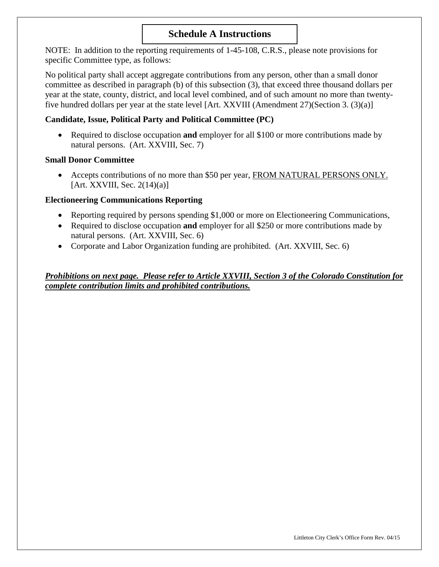# **Schedule A Instructions**

NOTE: In addition to the reporting requirements of 1-45-108, C.R.S., please note provisions for specific Committee type, as follows:

No political party shall accept aggregate contributions from any person, other than a small donor committee as described in paragraph (b) of this subsection (3), that exceed three thousand dollars per year at the state, county, district, and local level combined, and of such amount no more than twentyfive hundred dollars per year at the state level [Art. XXVIII (Amendment 27)(Section 3. (3)(a)]

# **Candidate, Issue, Political Party and Political Committee (PC)**

• Required to disclose occupation **and** employer for all \$100 or more contributions made by natural persons. (Art. XXVIII, Sec. 7)

### **Small Donor Committee**

• Accepts contributions of no more than \$50 per year, FROM NATURAL PERSONS ONLY. [Art. XXVIII, Sec.  $2(14)(a)$ ]

## **Electioneering Communications Reporting**

- Reporting required by persons spending \$1,000 or more on Electioneering Communications,
- Required to disclose occupation **and** employer for all \$250 or more contributions made by natural persons. (Art. XXVIII, Sec. 6)
- Corporate and Labor Organization funding are prohibited. (Art. XXVIII, Sec. 6)

*Prohibitions on next page. Please refer to Article XXVIII, Section 3 of the Colorado Constitution for complete contribution limits and prohibited contributions.*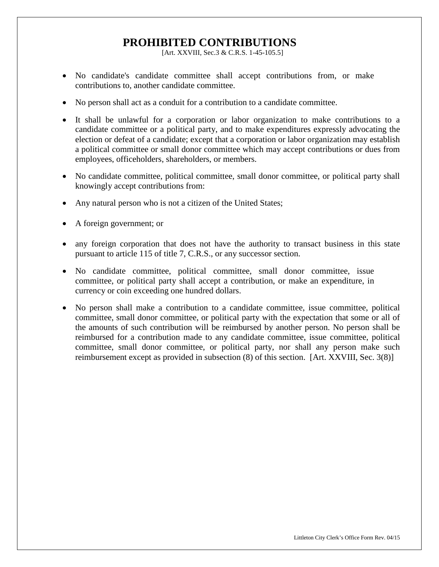# **PROHIBITED CONTRIBUTIONS**

[Art. XXVIII, Sec.3 & C.R.S. 1-45-105.5]

- No candidate's candidate committee shall accept contributions from, or make contributions to, another candidate committee.
- No person shall act as a conduit for a contribution to a candidate committee.
- It shall be unlawful for a corporation or labor organization to make contributions to a candidate committee or a political party, and to make expenditures expressly advocating the election or defeat of a candidate; except that a corporation or labor organization may establish a political committee or small donor committee which may accept contributions or dues from employees, officeholders, shareholders, or members.
- No candidate committee, political committee, small donor committee, or political party shall knowingly accept contributions from:
- Any natural person who is not a citizen of the United States;
- A foreign government; or
- any foreign corporation that does not have the authority to transact business in this state pursuant to article 115 of title 7, C.R.S., or any successor section.
- No candidate committee, political committee, small donor committee, issue committee, or political party shall accept a contribution, or make an expenditure, in currency or coin exceeding one hundred dollars.
- No person shall make a contribution to a candidate committee, issue committee, political committee, small donor committee, or political party with the expectation that some or all of the amounts of such contribution will be reimbursed by another person. No person shall be reimbursed for a contribution made to any candidate committee, issue committee, political committee, small donor committee, or political party, nor shall any person make such reimbursement except as provided in subsection (8) of this section. [Art. XXVIII, Sec. 3(8)]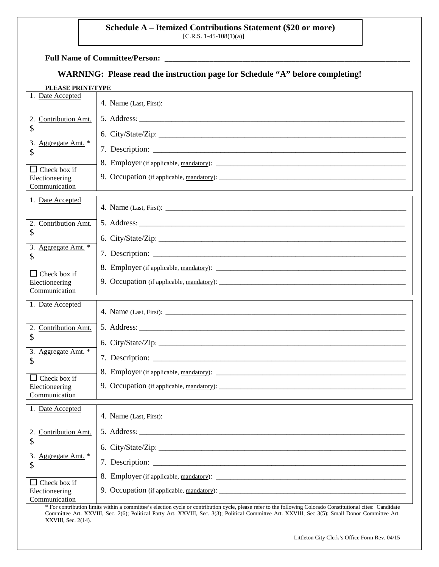# **Schedule A – Itemized Contributions Statement (\$20 or more)** [C.R.S. 1-45-108(1)(a)]

Full Name of Committee/Person:

# **WARNING: Please read the instruction page for Schedule "A" before completing!**

| PLEASE PRINT/TYPE |  |
|-------------------|--|
|-------------------|--|

| Date Accepted<br>1.             |                                         |
|---------------------------------|-----------------------------------------|
| 2.<br>Contribution Amt.         |                                         |
| \$<br>3.<br>Aggregate Amt. *    |                                         |
| \$                              |                                         |
| $\Box$ Check box if             | 8. Employer (if applicable, mandatory): |
| Electioneering<br>Communication |                                         |
| 1. Date Accepted                |                                         |
| 2.<br>Contribution Amt.         |                                         |
| \$                              |                                         |
| 3.<br>Aggregate Amt. *<br>\$    |                                         |
| $\Box$ Check box if             |                                         |
| Electioneering<br>Communication |                                         |
|                                 |                                         |
| 1. Date Accepted                |                                         |
|                                 |                                         |
| 2.<br>Contribution Amt.<br>\$   |                                         |
| 3. Aggregate Amt. *             |                                         |
| \$                              |                                         |
| Check box if<br>$\mathsf{L}$    |                                         |
| Electioneering<br>Communication |                                         |
| 1. Date Accepted                |                                         |
| 2. Contribution Amt.            |                                         |
| \$                              |                                         |
| Aggregate Amt. *<br>3.<br>\$    |                                         |
| Check box if                    |                                         |

\* For contribution limits within a committee's election cycle or contribution cycle, please refer to the following Colorado Constitutional cites: Candidate Committee Art. XXVIII, Sec. 2(6); Political Party Art. XXVIII, Sec. 3(3); Political Committee Art. XXVIII, Sec 3(5); Small Donor Committee Art. XXVIII, Sec. 2(14).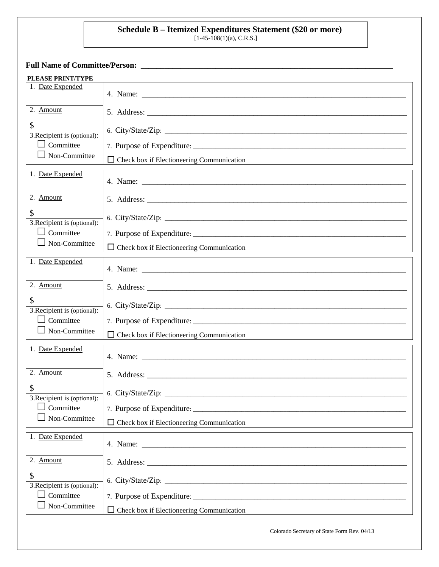# **Schedule B – Itemized Expenditures Statement (\$20 or more)**

 $[1-45-108(1)(a), C.R.S.]$ 

**Full Name of Committee/Person: \_\_\_\_\_\_\_\_\_\_\_\_\_\_\_\_\_\_\_\_\_\_\_\_\_\_\_\_\_\_\_\_\_\_\_\_\_\_\_\_\_\_\_\_\_\_\_\_\_\_\_\_\_\_\_\_\_\_\_\_\_\_\_\_**

| <b>PLEASE PRINT/TYPE</b>          |                                                                                                                                                                                                                                |
|-----------------------------------|--------------------------------------------------------------------------------------------------------------------------------------------------------------------------------------------------------------------------------|
| 1. Date Expended                  |                                                                                                                                                                                                                                |
|                                   |                                                                                                                                                                                                                                |
| 2. Amount                         |                                                                                                                                                                                                                                |
| \$<br>3. Recipient is (optional): |                                                                                                                                                                                                                                |
| $\Box$ Committee                  |                                                                                                                                                                                                                                |
| Non-Committee                     | Check box if Electioneering Communication                                                                                                                                                                                      |
|                                   |                                                                                                                                                                                                                                |
| 1. Date Expended                  |                                                                                                                                                                                                                                |
| 2. Amount                         |                                                                                                                                                                                                                                |
| \$<br>3. Recipient is (optional): | 6. City/State/Zip:                                                                                                                                                                                                             |
| $\Box$ Committee                  |                                                                                                                                                                                                                                |
| $\Box$ Non-Committee              | $\Box$ Check box if Electioneering Communication                                                                                                                                                                               |
| 1. Date Expended                  |                                                                                                                                                                                                                                |
| 2. Amount                         |                                                                                                                                                                                                                                |
| \$<br>3. Recipient is (optional): | 6. City/State/Zip: 2008. 2009. 2009. 2010. 2010. 2010. 2010. 2010. 2010. 2010. 2010. 2010. 2010. 2010. 2010. 2010. 2010. 2010. 2010. 2010. 2010. 2010. 2010. 2010. 2010. 2010. 2010. 2010. 2010. 2010. 2010. 2010. 2010. 2010. |
| Committee<br>$\blacksquare$       |                                                                                                                                                                                                                                |
| Non-Committee                     | $\Box$ Check box if Electioneering Communication                                                                                                                                                                               |
| 1. Date Expended                  |                                                                                                                                                                                                                                |
| 2. Amount                         |                                                                                                                                                                                                                                |
| \$<br>3. Recipient is (optional): | 6. City/State/Zip:                                                                                                                                                                                                             |
| Committee                         |                                                                                                                                                                                                                                |
| Non-Committee                     | $\Box$ Check box if Electioneering Communication                                                                                                                                                                               |
| 1. Date Expended                  |                                                                                                                                                                                                                                |
| 2. Amount                         |                                                                                                                                                                                                                                |
| \$<br>3. Recipient is (optional): | 6. City/State/Zip:                                                                                                                                                                                                             |
| $\Box$ Committee                  | 7. Purpose of Expenditure:                                                                                                                                                                                                     |
| Non-Committee                     | Check box if Electioneering Communication                                                                                                                                                                                      |
|                                   | Colorado Secretary of State Form Rev. 04/13                                                                                                                                                                                    |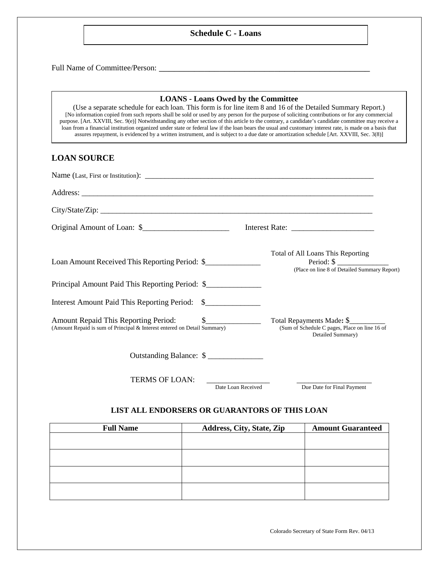#### **Schedule C - Loans**

Full Name of Committee/Person: \_\_\_\_\_\_\_\_\_\_\_\_\_\_\_\_\_\_\_\_\_\_\_\_\_\_\_\_\_\_\_\_\_\_\_\_\_\_\_\_\_\_

#### **LOANS - Loans Owed by the Committee**

(Use a separate schedule for each loan. This form is for line item 8 and 16 of the Detailed Summary Report.) [No information copied from such reports shall be sold or used by any person for the purpose of soliciting contributions or for any commercial purpose. [Art. XXVIII, Sec. 9(e)] Notwithstanding any other section of this article to the contrary, a candidate's candidate committee may receive a loan from a financial institution organized under state or federal law if the loan bears the usual and customary interest rate, is made on a basis that assures repayment, is evidenced by a written instrument, and is subject to a due date or amortization schedule [Art. XXVIII, Sec. 3(8)]

#### **LOAN SOURCE**

| Original Amount of Loan: \$                                              |                                                                                                            |
|--------------------------------------------------------------------------|------------------------------------------------------------------------------------------------------------|
| Loan Amount Received This Reporting Period: \$                           | Total of All Loans This Reporting<br>Period: $\frac{1}{2}$<br>(Place on line 8 of Detailed Summary Report) |
| Principal Amount Paid This Reporting Period: \$                          |                                                                                                            |
| Interest Amount Paid This Reporting Period: \$                           |                                                                                                            |
| (Amount Repaid is sum of Principal & Interest entered on Detail Summary) | Total Repayments Made: \$<br>(Sum of Schedule C pages, Place on line 16 of<br>Detailed Summary)            |
| Outstanding Balance: \$                                                  |                                                                                                            |
| <b>TERMS OF LOAN:</b>                                                    |                                                                                                            |

Date Loan Received Due Date for Final Payment

#### **LIST ALL ENDORSERS OR GUARANTORS OF THIS LOAN**

| <b>Full Name</b> | Address, City, State, Zip | <b>Amount Guaranteed</b> |
|------------------|---------------------------|--------------------------|
|                  |                           |                          |
|                  |                           |                          |
|                  |                           |                          |
|                  |                           |                          |
|                  |                           |                          |
|                  |                           |                          |

Colorado Secretary of State Form Rev. 04/13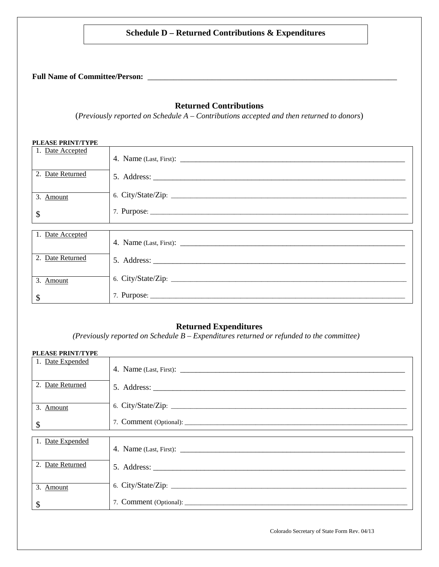# **Schedule D – Returned Contributions & Expenditures**

**Full Name of Committee/Person:** \_\_\_\_\_\_\_\_\_\_\_\_\_\_\_\_\_\_\_\_\_\_\_\_\_\_\_\_\_\_\_\_\_\_\_\_\_\_\_\_\_\_\_\_\_\_\_\_\_\_\_\_\_\_\_\_\_\_

### **Returned Contributions**

(*Previously reported on Schedule A – Contributions accepted and then returned to donors*)

| <b>PLEASE PRINT/TYPE</b> |                    |
|--------------------------|--------------------|
| 1. Date Accepted         |                    |
| 2. Date Returned         |                    |
| 3. Amount                | 6. City/State/Zip: |
| \$                       |                    |
|                          |                    |
| 1. Date Accepted         |                    |
| 2. Date Returned         |                    |
| 3. Amount                | 6. City/State/Zip: |
| \$                       |                    |

# **Returned Expenditures**

*(Previously reported on Schedule B – Expenditures returned or refunded to the committee)*

| <b>PLEASE PRINT/TYPE</b> |                    |  |
|--------------------------|--------------------|--|
| 1. Date Expended         |                    |  |
| 2. Date Returned         |                    |  |
| 3. Amount                |                    |  |
| \$                       |                    |  |
|                          |                    |  |
| 1. Date Expended         |                    |  |
| 2. Date Returned         |                    |  |
| 3. Amount                | 6. City/State/Zip: |  |
| \$                       |                    |  |

Colorado Secretary of State Form Rev. 04/13